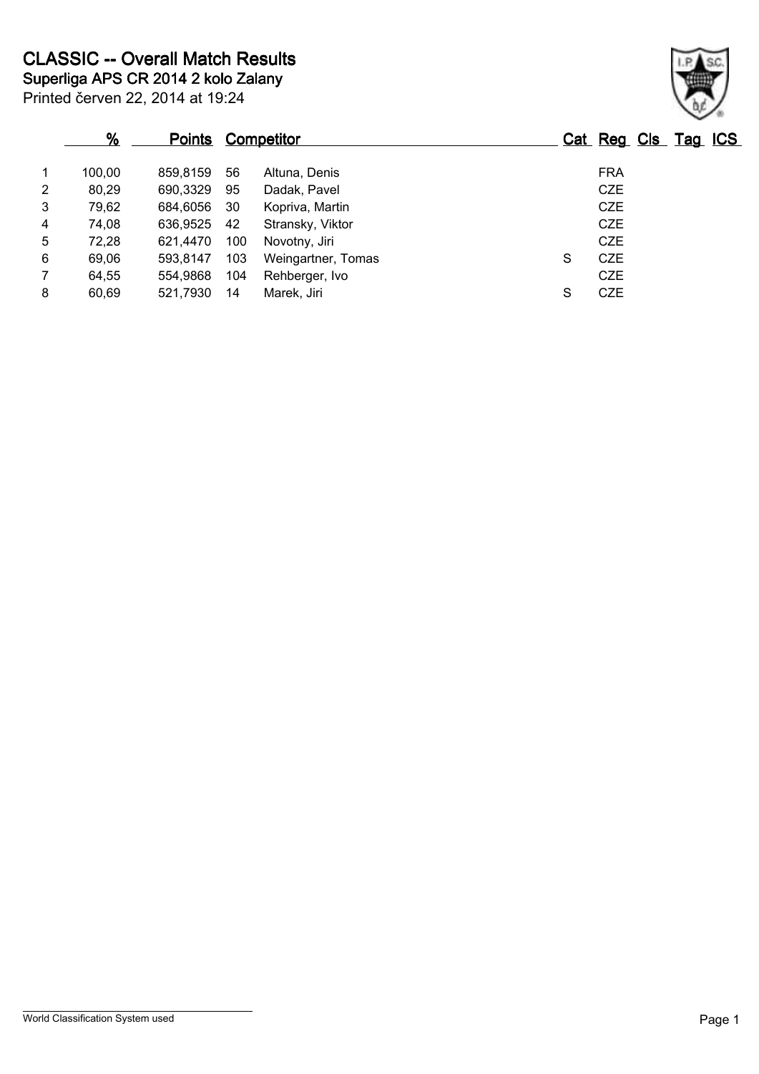|                | %      | <b>Points</b> |     | <b>Competitor</b>  |   | Cat Reg Cls Tag ICS |
|----------------|--------|---------------|-----|--------------------|---|---------------------|
| $\mathbf 1$    | 100.00 | 859.8159      | -56 | Altuna, Denis      |   | <b>FRA</b>          |
| $\overline{2}$ | 80,29  | 690,3329      | 95  | Dadak, Pavel       |   | <b>CZE</b>          |
| 3              | 79,62  | 684,6056      | -30 | Kopriva, Martin    |   | <b>CZE</b>          |
| 4              | 74,08  | 636,9525      | 42  | Stransky, Viktor   |   | <b>CZE</b>          |
| 5              | 72,28  | 621.4470      | 100 | Novotny, Jiri      |   | <b>CZE</b>          |
| 6              | 69,06  | 593.8147      | 103 | Weingartner, Tomas | S | <b>CZE</b>          |
| $\overline{7}$ | 64,55  | 554.9868      | 104 | Rehberger, Ivo     |   | <b>CZE</b>          |
| 8              | 60,69  | 521,7930      | 14  | Marek, Jiri        | S | <b>CZE</b>          |

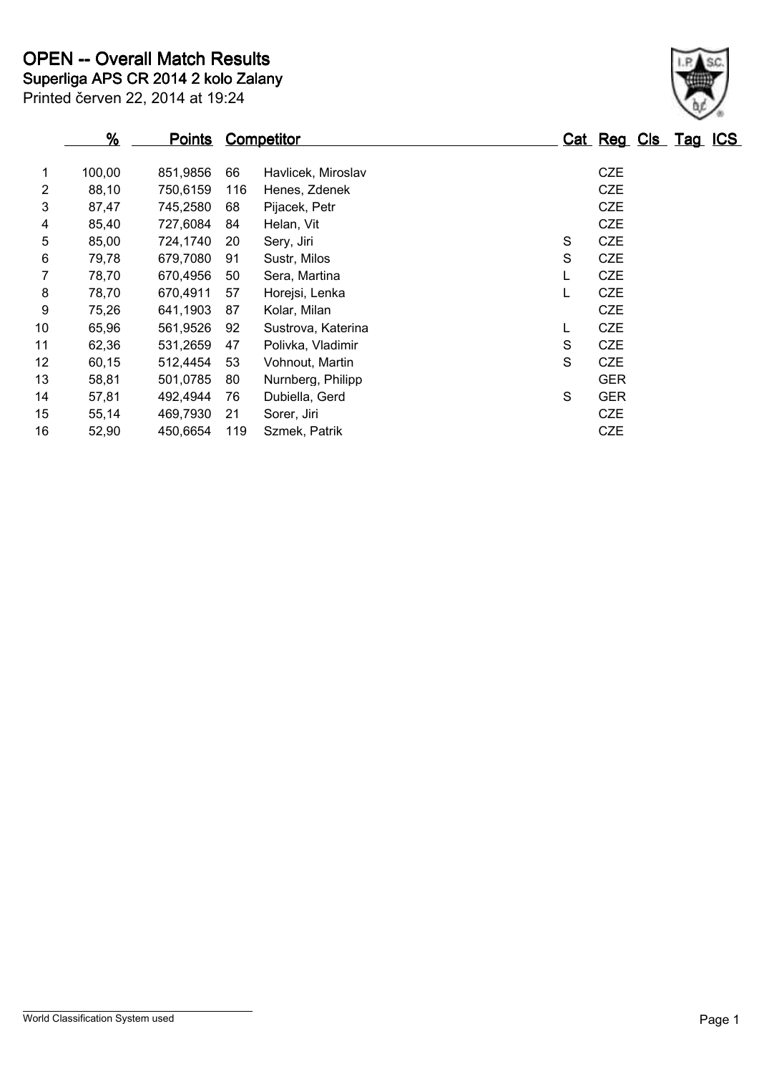|                | $\frac{9}{6}$ | <b>Points</b> |     | <b>Competitor</b>  |   | Cat Reg Cls Tag ICS |  |
|----------------|---------------|---------------|-----|--------------------|---|---------------------|--|
| 1              | 100,00        | 851,9856      | 66  | Havlicek, Miroslav |   | <b>CZE</b>          |  |
| $\overline{2}$ | 88,10         | 750,6159      | 116 | Henes, Zdenek      |   | <b>CZE</b>          |  |
| 3              | 87,47         | 745,2580      | 68  | Pijacek, Petr      |   | <b>CZE</b>          |  |
| 4              | 85,40         | 727,6084      | 84  | Helan, Vit         |   | <b>CZE</b>          |  |
| 5              | 85,00         | 724,1740      | 20  | Sery, Jiri         | S | <b>CZE</b>          |  |
| 6              | 79,78         | 679,7080      | 91  | Sustr, Milos       | S | <b>CZE</b>          |  |
| 7              | 78,70         | 670,4956      | 50  | Sera, Martina      | L | <b>CZE</b>          |  |
| 8              | 78,70         | 670,4911      | 57  | Horejsi, Lenka     | L | <b>CZE</b>          |  |
| 9              | 75,26         | 641,1903      | 87  | Kolar, Milan       |   | <b>CZE</b>          |  |
| 10             | 65,96         | 561,9526      | 92  | Sustrova, Katerina | L | <b>CZE</b>          |  |
| 11             | 62,36         | 531,2659      | 47  | Polivka, Vladimir  | S | <b>CZE</b>          |  |
| 12             | 60,15         | 512,4454      | 53  | Vohnout, Martin    | S | <b>CZE</b>          |  |
| 13             | 58,81         | 501,0785      | 80  | Nurnberg, Philipp  |   | <b>GER</b>          |  |
| 14             | 57,81         | 492,4944      | 76  | Dubiella, Gerd     | S | <b>GER</b>          |  |
| 15             | 55,14         | 469,7930      | 21  | Sorer, Jiri        |   | <b>CZE</b>          |  |
| 16             | 52,90         | 450,6654      | 119 | Szmek, Patrik      |   | <b>CZE</b>          |  |

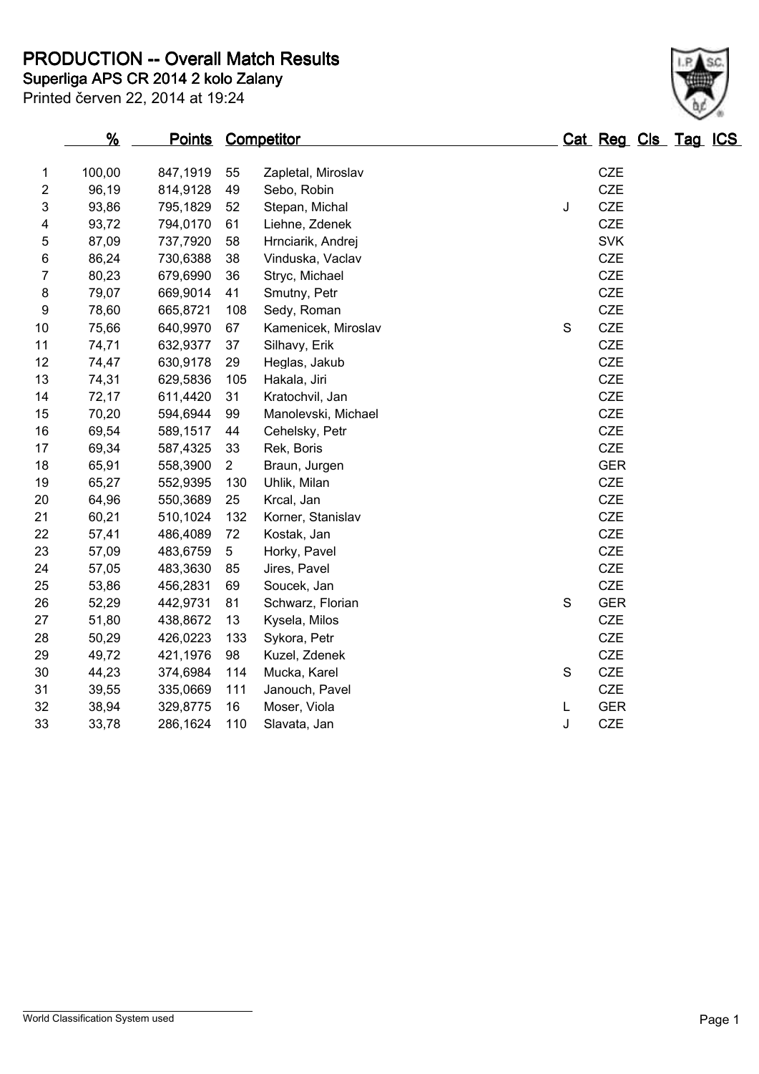**Superliga APS CR 2014 2 kolo Zalany PRODUCTION -- Overall Match Results**

|                | $\frac{9}{6}$ | <b>Points</b> |                | Competitor          |             | Cat Reg Cls Tag ICS |  |  |
|----------------|---------------|---------------|----------------|---------------------|-------------|---------------------|--|--|
| 1              | 100,00        | 847,1919      | 55             | Zapletal, Miroslav  |             | CZE                 |  |  |
| $\overline{2}$ | 96,19         | 814,9128      | 49             | Sebo, Robin         |             | CZE                 |  |  |
| 3              | 93,86         | 795,1829      | 52             | Stepan, Michal      | J           | CZE                 |  |  |
| 4              | 93,72         | 794,0170      | 61             | Liehne, Zdenek      |             | <b>CZE</b>          |  |  |
| 5              | 87,09         | 737,7920      | 58             | Hrnciarik, Andrej   |             | <b>SVK</b>          |  |  |
| 6              | 86,24         | 730,6388      | 38             | Vinduska, Vaclav    |             | <b>CZE</b>          |  |  |
| $\overline{7}$ | 80,23         | 679,6990      | 36             | Stryc, Michael      |             | <b>CZE</b>          |  |  |
| 8              | 79,07         | 669,9014      | 41             | Smutny, Petr        |             | <b>CZE</b>          |  |  |
| 9              | 78,60         | 665,8721      | 108            | Sedy, Roman         |             | CZE                 |  |  |
| 10             | 75,66         | 640,9970      | 67             | Kamenicek, Miroslav | $\mathbf S$ | <b>CZE</b>          |  |  |
| 11             | 74,71         | 632,9377      | 37             | Silhavy, Erik       |             | <b>CZE</b>          |  |  |
| 12             | 74,47         | 630,9178      | 29             | Heglas, Jakub       |             | <b>CZE</b>          |  |  |
| 13             | 74,31         | 629,5836      | 105            | Hakala, Jiri        |             | CZE                 |  |  |
| 14             | 72,17         | 611,4420      | 31             | Kratochvil, Jan     |             | <b>CZE</b>          |  |  |
| 15             | 70,20         | 594,6944      | 99             | Manolevski, Michael |             | <b>CZE</b>          |  |  |
| 16             | 69,54         | 589,1517      | 44             | Cehelsky, Petr      |             | <b>CZE</b>          |  |  |
| 17             | 69,34         | 587,4325      | 33             | Rek, Boris          |             | <b>CZE</b>          |  |  |
| 18             | 65,91         | 558,3900      | $\overline{2}$ | Braun, Jurgen       |             | <b>GER</b>          |  |  |
| 19             | 65,27         | 552,9395      | 130            | Uhlik, Milan        |             | <b>CZE</b>          |  |  |
| 20             | 64,96         | 550,3689      | 25             | Krcal, Jan          |             | <b>CZE</b>          |  |  |
| 21             | 60,21         | 510,1024      | 132            | Korner, Stanislav   |             | <b>CZE</b>          |  |  |
| 22             | 57,41         | 486,4089      | 72             | Kostak, Jan         |             | <b>CZE</b>          |  |  |
| 23             | 57,09         | 483,6759      | 5              | Horky, Pavel        |             | <b>CZE</b>          |  |  |
| 24             | 57,05         | 483,3630      | 85             | Jires, Pavel        |             | CZE                 |  |  |
| 25             | 53,86         | 456,2831      | 69             | Soucek, Jan         |             | <b>CZE</b>          |  |  |
| 26             | 52,29         | 442,9731      | 81             | Schwarz, Florian    | S           | <b>GER</b>          |  |  |
| 27             | 51,80         | 438,8672      | 13             | Kysela, Milos       |             | CZE                 |  |  |
| 28             | 50,29         | 426,0223      | 133            | Sykora, Petr        |             | CZE                 |  |  |
| 29             | 49,72         | 421,1976      | 98             | Kuzel, Zdenek       |             | <b>CZE</b>          |  |  |
| 30             | 44,23         | 374,6984      | 114            | Mucka, Karel        | S           | <b>CZE</b>          |  |  |
| 31             | 39,55         | 335,0669      | 111            | Janouch, Pavel      |             | CZE                 |  |  |
| 32             | 38,94         | 329,8775      | 16             | Moser, Viola        | L           | <b>GER</b>          |  |  |
| 33             | 33,78         | 286,1624      | 110            | Slavata, Jan        | J           | <b>CZE</b>          |  |  |
|                |               |               |                |                     |             |                     |  |  |

Printed červen 22, 2014 at 19:24

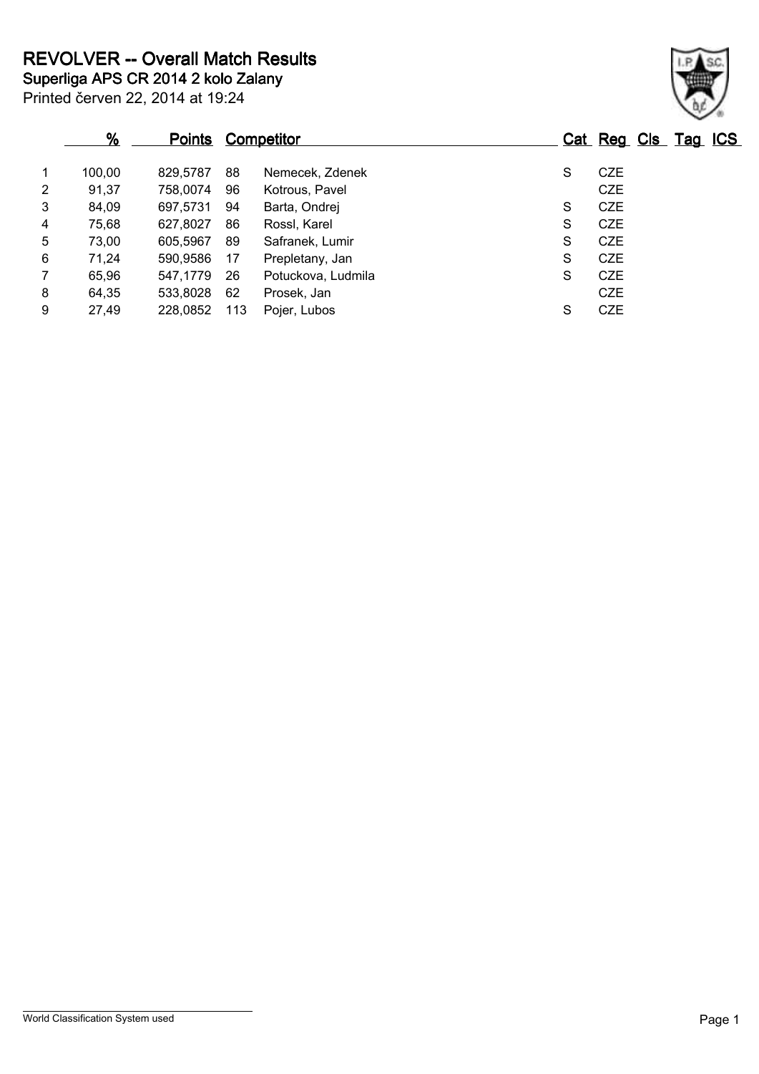|                | %      | <u>Points</u> |     | <b>Competitor</b>  |   | Cat Reg Cls Tag ICS |  |  |
|----------------|--------|---------------|-----|--------------------|---|---------------------|--|--|
| $\mathbf 1$    | 100,00 | 829.5787      | 88  | Nemecek, Zdenek    | S | <b>CZE</b>          |  |  |
| $\overline{2}$ | 91,37  | 758,0074      | 96  | Kotrous, Pavel     |   | <b>CZE</b>          |  |  |
| 3              | 84,09  | 697,5731      | 94  | Barta, Ondrej      | S | <b>CZE</b>          |  |  |
| 4              | 75,68  | 627,8027      | 86  | Rossl, Karel       | S | <b>CZE</b>          |  |  |
| 5              | 73,00  | 605,5967      | 89  | Safranek, Lumir    | S | <b>CZE</b>          |  |  |
| 6              | 71,24  | 590,9586      | 17  | Prepletany, Jan    | S | <b>CZE</b>          |  |  |
| $\overline{7}$ | 65,96  | 547,1779      | 26  | Potuckova, Ludmila | S | <b>CZE</b>          |  |  |
| 8              | 64,35  | 533,8028      | 62  | Prosek, Jan        |   | <b>CZE</b>          |  |  |
| 9              | 27,49  | 228,0852      | 113 | Pojer, Lubos       | S | <b>CZE</b>          |  |  |